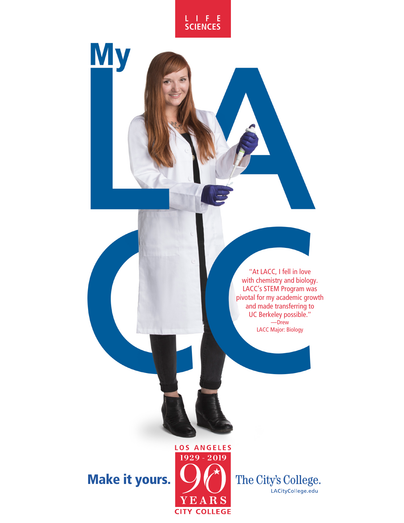

**My** 



## Make it yours.



The City's College. LACityCollege.edu